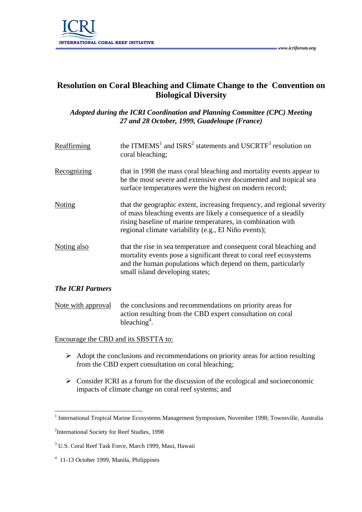

## **Resolution on Coral Bleaching and Climate Change to the Convention on Biological Diversity**

*Adopted during the ICRI Coordination and Planning Committee (CPC) Meeting 27 and 28 October, 1999, Guadeloupe (France)* 

| Reaffirming              | the ITMEMS <sup>1</sup> and ISRS <sup>2</sup> statements and USCRTF <sup>3</sup> resolution on<br>coral bleaching;                                                                                                                                                |
|--------------------------|-------------------------------------------------------------------------------------------------------------------------------------------------------------------------------------------------------------------------------------------------------------------|
| Recognizing              | that in 1998 the mass coral bleaching and mortality events appear to<br>be the most severe and extensive ever documented and tropical sea<br>surface temperatures were the highest on modern record;                                                              |
| Noting                   | that the geographic extent, increasing frequency, and regional severity<br>of mass bleaching events are likely a consequence of a steadily<br>rising baseline of marine temperatures, in combination with<br>regional climate variability (e.g., El Niño events); |
| Noting also              | that the rise in sea temperature and consequent coral bleaching and<br>mortality events pose a significant threat to coral reef ecosystems<br>and the human populations which depend on them, particularly<br>small island developing states;                     |
| <b>The ICRI Partners</b> |                                                                                                                                                                                                                                                                   |

Note with approval the conclusions and recommendations on priority areas for action resulting from the CBD expert consultation on coral bleaching<sup>4</sup>.

Encourage the CBD and its SBSTTA to:

- $\triangleright$  Adopt the conclusions and recommendations on priority areas for action resulting from the CBD expert consultation on coral bleaching;
- $\triangleright$  Consider ICRI as a forum for the discussion of the ecological and socioeconomic impacts of climate change on coral reef systems; and

 $\overline{a}$ 

<sup>&</sup>lt;sup>1</sup> International Tropical Marine Ecosystems Management Symposium, November 1998; Townsville, Australia

<sup>&</sup>lt;sup>2</sup>International Society for Reef Studies, 1998

<sup>3</sup> U.S. Coral Reef Task Force, March 1999, Maui, Hawaii

<sup>4</sup> 11-13 October 1999, Manila, Philippines